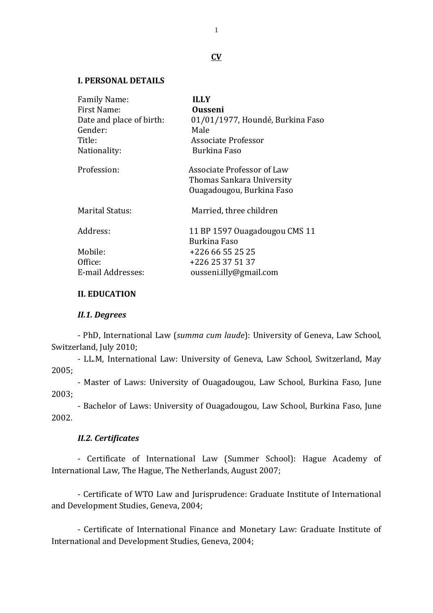### **CV**

## **I. PERSONAL DETAILS**

| <b>ILLY</b>                      |
|----------------------------------|
| Ousseni                          |
| 01/01/1977, Houndé, Burkina Faso |
| Male                             |
| <b>Associate Professor</b>       |
| Burkina Faso                     |
| Associate Professor of Law       |
| Thomas Sankara University        |
| Quagadougou, Burkina Faso        |
| Married, three children          |
| 11 BP 1597 Ouagadougou CMS 11    |
| Burkina Faso                     |
| +226 66 55 25 25                 |
| +226 25 37 51 37                 |
| ousseni.illy@gmail.com           |
|                                  |

## **II. EDUCATION**

#### *II.1. Degrees*

- PhD, International Law (*summa cum laude*): University of Geneva, Law School, Switzerland, July 2010;

- LL.M, International Law: University of Geneva, Law School, Switzerland, May 2005;

- Master of Laws: University of Ouagadougou, Law School, Burkina Faso, June 2003;

- Bachelor of Laws: University of Ouagadougou, Law School, Burkina Faso, June 2002.

## *II.2. Certificates*

- Certificate of International Law (Summer School): Hague Academy of International Law, The Hague, The Netherlands, August 2007;

- Certificate of WTO Law and Jurisprudence: Graduate Institute of International and Development Studies, Geneva, 2004;

- Certificate of International Finance and Monetary Law: Graduate Institute of International and Development Studies, Geneva, 2004;

1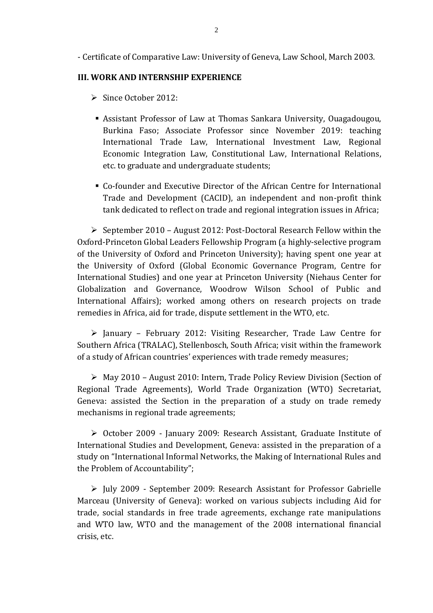- Certificate of Comparative Law: University of Geneva, Law School, March 2003.

## **III. WORK AND INTERNSHIP EXPERIENCE**

- ➢ Since October 2012:
- **EXECT** Assistant Professor of Law at Thomas Sankara University, Ouagadougou, Burkina Faso; Associate Professor since November 2019: teaching International Trade Law, International Investment Law, Regional Economic Integration Law, Constitutional Law, International Relations, etc. to graduate and undergraduate students;
- Co-founder and Executive Director of the African Centre for International Trade and Development (CACID), an independent and non-profit think tank dedicated to reflect on trade and regional integration issues in Africa;

 $\triangleright$  September 2010 – August 2012: Post-Doctoral Research Fellow within the Oxford-Princeton Global Leaders Fellowship Program (a highly-selective program of the University of Oxford and Princeton University); having spent one year at the University of Oxford (Global Economic Governance Program, Centre for International Studies) and one year at Princeton University (Niehaus Center for Globalization and Governance, Woodrow Wilson School of Public and International Affairs); worked among others on research projects on trade remedies in Africa, aid for trade, dispute settlement in the WTO, etc.

➢ January – February 2012: Visiting Researcher, Trade Law Centre for Southern Africa (TRALAC), Stellenbosch, South Africa; visit within the framework of a study of African countries' experiences with trade remedy measures;

➢ May 2010 – August 2010: Intern, Trade Policy Review Division (Section of Regional Trade Agreements), World Trade Organization (WTO) Secretariat, Geneva: assisted the Section in the preparation of a study on trade remedy mechanisms in regional trade agreements;

➢ October 2009 - January 2009: Research Assistant, Graduate Institute of International Studies and Development, Geneva: assisted in the preparation of a study on "International Informal Networks, the Making of International Rules and the Problem of Accountability";

➢ July 2009 - September 2009: Research Assistant for Professor Gabrielle Marceau (University of Geneva): worked on various subjects including Aid for trade, social standards in free trade agreements, exchange rate manipulations and WTO law, WTO and the management of the 2008 international financial crisis, etc.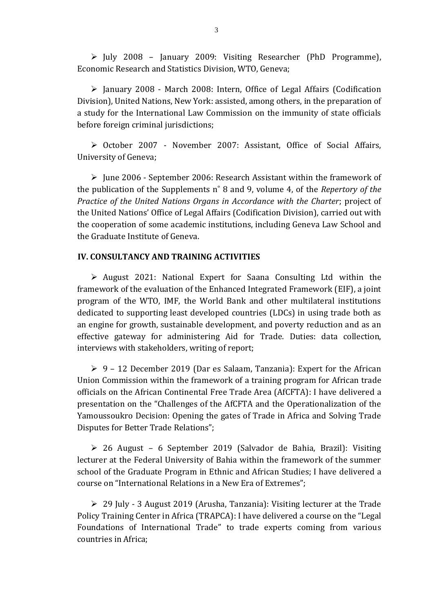➢ July 2008 – January 2009: Visiting Researcher (PhD Programme), Economic Research and Statistics Division, WTO, Geneva;

➢ January 2008 - March 2008: Intern, Office of Legal Affairs (Codification Division), United Nations, New York: assisted, among others, in the preparation of a study for the International Law Commission on the immunity of state officials before foreign criminal jurisdictions;

➢ October 2007 - November 2007: Assistant, Office of Social Affairs, University of Geneva;

 $\triangleright$  June 2006 - September 2006: Research Assistant within the framework of the publication of the Supplements n˚ 8 and 9, volume 4, of the *Repertory of the Practice of the United Nations Organs in Accordance with the Charter*; project of the United Nations' Office of Legal Affairs (Codification Division), carried out with the cooperation of some academic institutions, including Geneva Law School and the Graduate Institute of Geneva.

## **IV. CONSULTANCY AND TRAINING ACTIVITIES**

➢ August 2021: National Expert for Saana Consulting Ltd within the framework of the evaluation of the Enhanced Integrated Framework (EIF), a joint program of the WTO, IMF, the World Bank and other multilateral institutions dedicated to supporting least developed countries (LDCs) in using trade both as an engine for growth, sustainable development, and poverty reduction and as an effective gateway for administering Aid for Trade. Duties: data collection, interviews with stakeholders, writing of report;

 $\geq 9$  – 12 December 2019 (Dar es Salaam, Tanzania): Expert for the African Union Commission within the framework of a training program for African trade officials on the African Continental Free Trade Area (AfCFTA): I have delivered a presentation on the "Challenges of the AfCFTA and the Operationalization of the Yamoussoukro Decision: Opening the gates of Trade in Africa and Solving Trade Disputes for Better Trade Relations";

➢ 26 August – 6 September 2019 (Salvador de Bahia, Brazil): Visiting lecturer at the Federal University of Bahia within the framework of the summer school of the Graduate Program in Ethnic and African Studies; I have delivered a course on "International Relations in a New Era of Extremes";

➢ 29 July - 3 August 2019 (Arusha, Tanzania): Visiting lecturer at the Trade Policy Training Center in Africa (TRAPCA): I have delivered a course on the "Legal Foundations of International Trade" to trade experts coming from various countries in Africa;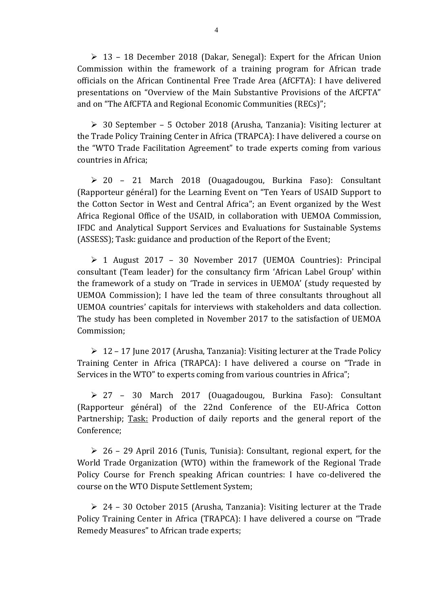$\geq 13$  – 18 December 2018 (Dakar, Senegal): Expert for the African Union Commission within the framework of a training program for African trade officials on the African Continental Free Trade Area (AfCFTA): I have delivered presentations on "Overview of the Main Substantive Provisions of the AfCFTA" and on "The AfCFTA and Regional Economic Communities (RECs)";

 $\geq$  30 September – 5 October 2018 (Arusha, Tanzania): Visiting lecturer at the Trade Policy Training Center in Africa (TRAPCA): I have delivered a course on the "WTO Trade Facilitation Agreement" to trade experts coming from various countries in Africa;

➢ 20 – 21 March 2018 (Ouagadougou, Burkina Faso): Consultant (Rapporteur général) for the Learning Event on "Ten Years of USAID Support to the Cotton Sector in West and Central Africa"; an Event organized by the West Africa Regional Office of the USAID, in collaboration with UEMOA Commission, IFDC and Analytical Support Services and Evaluations for Sustainable Systems (ASSESS); Task: guidance and production of the Report of the Event;

➢ 1 August 2017 – 30 November 2017 (UEMOA Countries): Principal consultant (Team leader) for the consultancy firm 'African Label Group' within the framework of a study on 'Trade in services in UEMOA' (study requested by UEMOA Commission); I have led the team of three consultants throughout all UEMOA countries' capitals for interviews with stakeholders and data collection. The study has been completed in November 2017 to the satisfaction of UEMOA Commission;

➢ 12 – 17 June 2017 (Arusha, Tanzania): Visiting lecturer at the Trade Policy Training Center in Africa (TRAPCA): I have delivered a course on "Trade in Services in the WTO" to experts coming from various countries in Africa";

➢ 27 – 30 March 2017 (Ouagadougou, Burkina Faso): Consultant (Rapporteur général) of the 22nd Conference of the EU-Africa Cotton Partnership; Task: Production of daily reports and the general report of the Conference;

 $\geq 26$  – 29 April 2016 (Tunis, Tunisia): Consultant, regional expert, for the World Trade Organization (WTO) within the framework of the Regional Trade Policy Course for French speaking African countries: I have co-delivered the course on the WTO Dispute Settlement System;

➢ 24 – 30 October 2015 (Arusha, Tanzania): Visiting lecturer at the Trade Policy Training Center in Africa (TRAPCA): I have delivered a course on "Trade Remedy Measures" to African trade experts;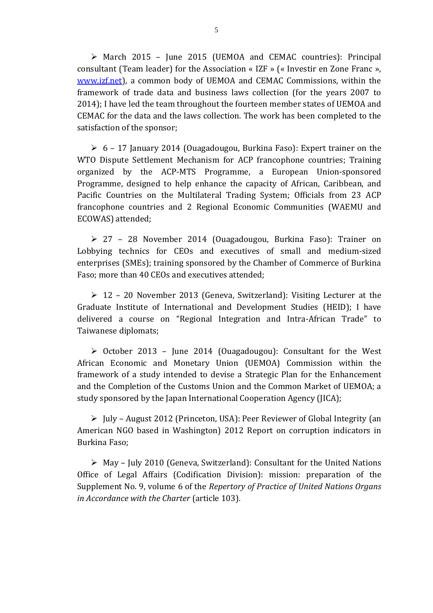➢ March 2015 – June 2015 (UEMOA and CEMAC countries): Principal consultant (Team leader) for the Association « IZF » (« Investir en Zone Franc », [www.izf.net\)](http://www.izf.net/), a common body of UEMOA and CEMAC Commissions, within the framework of trade data and business laws collection (for the years 2007 to 2014); I have led the team throughout the fourteen member states of UEMOA and CEMAC for the data and the laws collection. The work has been completed to the satisfaction of the sponsor;

 $\geq 6$  – 17 January 2014 (Ouagadougou, Burkina Faso): Expert trainer on the WTO Dispute Settlement Mechanism for ACP francophone countries; Training organized by the ACP-MTS Programme, a European Union-sponsored Programme, designed to help enhance the capacity of African, Caribbean, and Pacific Countries on the Multilateral Trading System; Officials from 23 ACP francophone countries and 2 Regional Economic Communities (WAEMU and ECOWAS) attended;

➢ 27 – 28 November 2014 (Ouagadougou, Burkina Faso): Trainer on Lobbying technics for CEOs and executives of small and medium-sized enterprises (SMEs); training sponsored by the Chamber of Commerce of Burkina Faso; more than 40 CEOs and executives attended;

➢ 12 – 20 November 2013 (Geneva, Switzerland): Visiting Lecturer at the Graduate Institute of International and Development Studies (HEID); I have delivered a course on "Regional Integration and Intra-African Trade" to Taiwanese diplomats;

➢ October 2013 – June 2014 (Ouagadougou): Consultant for the West African Economic and Monetary Union (UEMOA) Commission within the framework of a study intended to devise a Strategic Plan for the Enhancement and the Completion of the Customs Union and the Common Market of UEMOA; a study sponsored by the Japan International Cooperation Agency (JICA);

 $\triangleright$  July – August 2012 (Princeton, USA): Peer Reviewer of Global Integrity (an American NGO based in Washington) 2012 Report on corruption indicators in Burkina Faso;

➢ May – July 2010 (Geneva, Switzerland): Consultant for the United Nations Office of Legal Affairs (Codification Division): mission: preparation of the Supplement No. 9, volume 6 of the *Repertory of Practice of United Nations Organs in Accordance with the Charter* (article 103).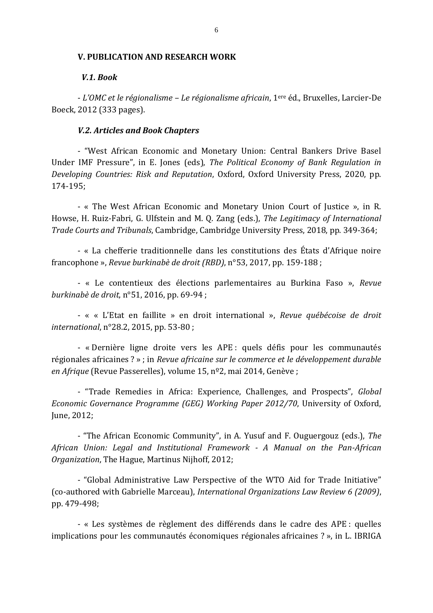#### **V. PUBLICATION AND RESEARCH WORK**

## *V.1. Book*

- *L'OMC et le régionalisme – Le régionalisme africain*, 1ere éd., Bruxelles, Larcier-De Boeck, 2012 (333 pages).

### *V.2. Articles and Book Chapters*

- "West African Economic and Monetary Union: Central Bankers Drive Basel Under IMF Pressure", in E. Jones (eds), *The Political Economy of Bank Regulation in Developing Countries: Risk and Reputation*, Oxford, Oxford University Press, 2020, pp. 174-195;

- « The West African Economic and Monetary Union Court of Justice », in R. Howse, H. Ruiz-Fabri, G. Ulfstein and M. Q. Zang (eds.), *The Legitimacy of International Trade Courts and Tribunals*, Cambridge, Cambridge University Press, 2018, pp. 349-364;

- « La chefferie traditionnelle dans les constitutions des États d'Afrique noire francophone », *Revue burkinabè de droit (RBD)*, n°53, 2017, pp. 159-188 ;

- « Le contentieux des élections parlementaires au Burkina Faso », *Revue burkinabè de droit*, n°51, 2016, pp. 69-94 ;

- « « L'Etat en faillite » en droit international », *Revue québécoise de droit international*, n°28.2, 2015, pp. 53-80 ;

- « Dernière ligne droite vers les APE : quels défis pour les communautés régionales africaines ? » ; in *Revue africaine sur le commerce et le développement durable en Afrique* (Revue Passerelles), volume 15, nº2, mai 2014, Genève ;

- "Trade Remedies in Africa: Experience, Challenges, and Prospects", *Global Economic Governance Programme (GEG) Working Paper 2012/70*, University of Oxford, June, 2012;

- "The African Economic Community", in A. Yusuf and F. Ouguergouz (eds.), *The African Union: Legal and Institutional Framework - A Manual on the Pan-African Organization*, The Hague, Martinus Nijhoff, 2012;

- "Global Administrative Law Perspective of the WTO Aid for Trade Initiative" (co-authored with Gabrielle Marceau), *International Organizations Law Review 6 (2009)*, pp. 479-498;

- « Les systèmes de règlement des différends dans le cadre des APE : quelles implications pour les communautés économiques régionales africaines ? », in L. IBRIGA